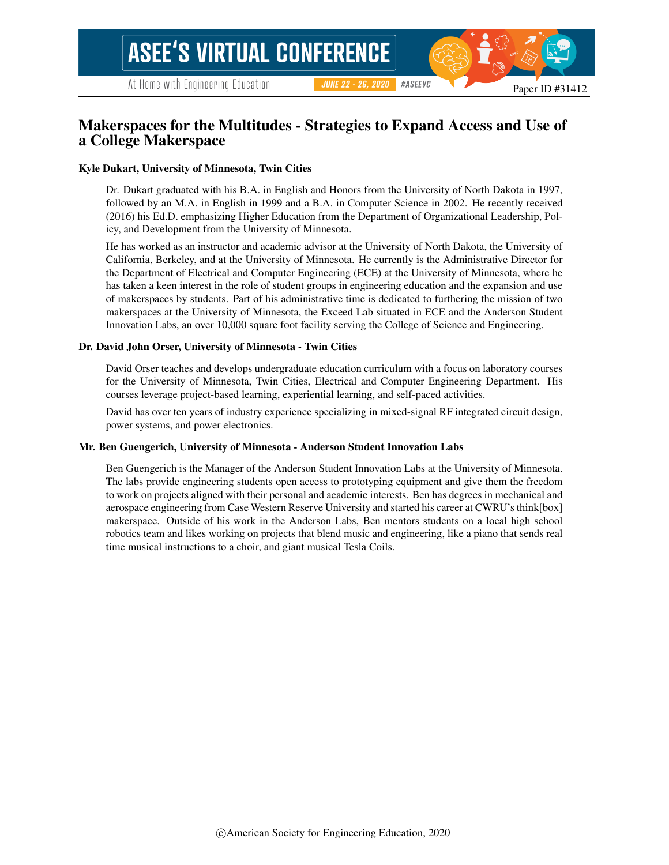## Makerspaces for the Multitudes - Strategies to Expand Access and Use of a College Makerspace

#### Kyle Dukart, University of Minnesota, Twin Cities

Dr. Dukart graduated with his B.A. in English and Honors from the University of North Dakota in 1997, followed by an M.A. in English in 1999 and a B.A. in Computer Science in 2002. He recently received (2016) his Ed.D. emphasizing Higher Education from the Department of Organizational Leadership, Policy, and Development from the University of Minnesota.

He has worked as an instructor and academic advisor at the University of North Dakota, the University of California, Berkeley, and at the University of Minnesota. He currently is the Administrative Director for the Department of Electrical and Computer Engineering (ECE) at the University of Minnesota, where he has taken a keen interest in the role of student groups in engineering education and the expansion and use of makerspaces by students. Part of his administrative time is dedicated to furthering the mission of two makerspaces at the University of Minnesota, the Exceed Lab situated in ECE and the Anderson Student Innovation Labs, an over 10,000 square foot facility serving the College of Science and Engineering.

#### Dr. David John Orser, University of Minnesota - Twin Cities

David Orser teaches and develops undergraduate education curriculum with a focus on laboratory courses for the University of Minnesota, Twin Cities, Electrical and Computer Engineering Department. His courses leverage project-based learning, experiential learning, and self-paced activities.

David has over ten years of industry experience specializing in mixed-signal RF integrated circuit design, power systems, and power electronics.

#### Mr. Ben Guengerich, University of Minnesota - Anderson Student Innovation Labs

Ben Guengerich is the Manager of the Anderson Student Innovation Labs at the University of Minnesota. The labs provide engineering students open access to prototyping equipment and give them the freedom to work on projects aligned with their personal and academic interests. Ben has degrees in mechanical and aerospace engineering from Case Western Reserve University and started his career at CWRU's think[box] makerspace. Outside of his work in the Anderson Labs, Ben mentors students on a local high school robotics team and likes working on projects that blend music and engineering, like a piano that sends real time musical instructions to a choir, and giant musical Tesla Coils.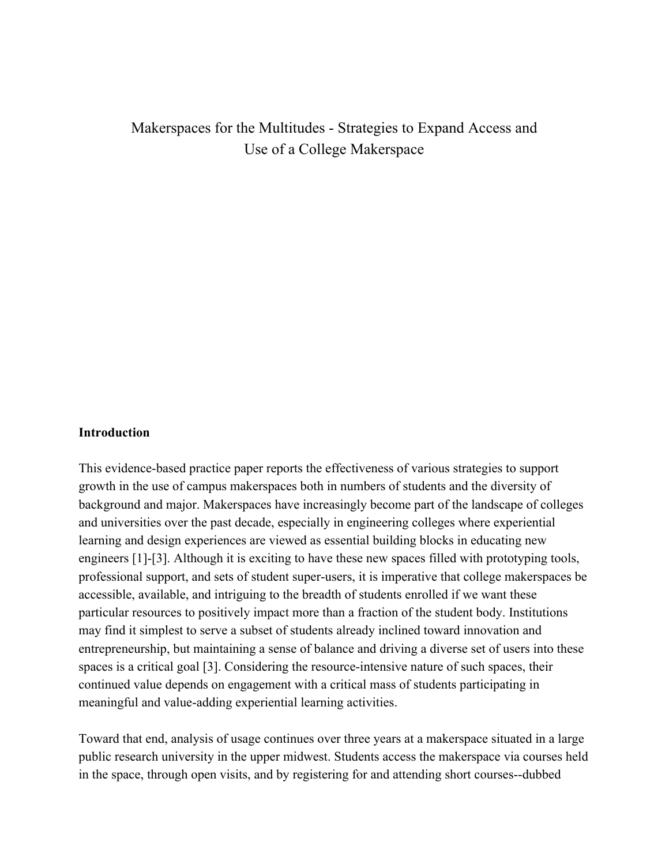# Makerspaces for the Multitudes - Strategies to Expand Access and Use of a College Makerspace

#### **Introduction**

This evidence-based practice paper reports the effectiveness of various strategies to support growth in the use of campus makerspaces both in numbers of students and the diversity of background and major. Makerspaces have increasingly become part of the landscape of colleges and universities over the past decade, especially in engineering colleges where experiential learning and design experiences are viewed as essential building blocks in educating new engineers [1]-[3]. Although it is exciting to have these new spaces filled with prototyping tools, professional support, and sets of student super-users, it is imperative that college makerspaces be accessible, available, and intriguing to the breadth of students enrolled if we want these particular resources to positively impact more than a fraction of the student body. Institutions may find it simplest to serve a subset of students already inclined toward innovation and entrepreneurship, but maintaining a sense of balance and driving a diverse set of users into these spaces is a critical goal [3]. Considering the resource-intensive nature of such spaces, their continued value depends on engagement with a critical mass of students participating in meaningful and value-adding experiential learning activities.

Toward that end, analysis of usage continues over three years at a makerspace situated in a large public research university in the upper midwest. Students access the makerspace via courses held in the space, through open visits, and by registering for and attending short courses--dubbed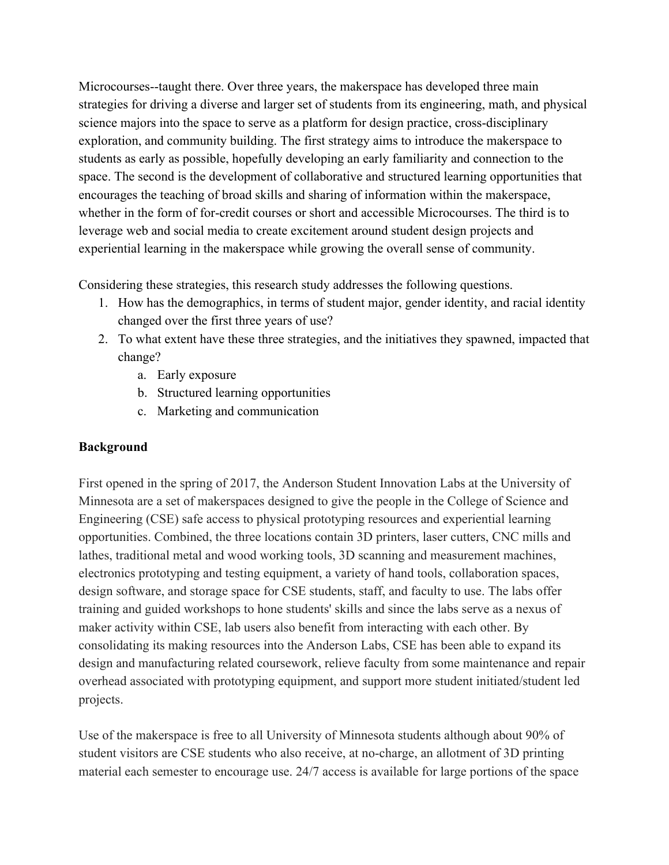Microcourses--taught there. Over three years, the makerspace has developed three main strategies for driving a diverse and larger set of students from its engineering, math, and physical science majors into the space to serve as a platform for design practice, cross-disciplinary exploration, and community building. The first strategy aims to introduce the makerspace to students as early as possible, hopefully developing an early familiarity and connection to the space. The second is the development of collaborative and structured learning opportunities that encourages the teaching of broad skills and sharing of information within the makerspace, whether in the form of for-credit courses or short and accessible Microcourses. The third is to leverage web and social media to create excitement around student design projects and experiential learning in the makerspace while growing the overall sense of community.

Considering these strategies, this research study addresses the following questions.

- 1. How has the demographics, in terms of student major, gender identity, and racial identity changed over the first three years of use?
- 2. To what extent have these three strategies, and the initiatives they spawned, impacted that change?
	- a. Early exposure
	- b. Structured learning opportunities
	- c. Marketing and communication

## **Background**

First opened in the spring of 2017, the Anderson Student Innovation Labs at the University of Minnesota are a set of makerspaces designed to give the people in the College of Science and Engineering (CSE) safe access to physical prototyping resources and experiential learning opportunities. Combined, the three locations contain 3D printers, laser cutters, CNC mills and lathes, traditional metal and wood working tools, 3D scanning and measurement machines, electronics prototyping and testing equipment, a variety of hand tools, collaboration spaces, design software, and storage space for CSE students, staff, and faculty to use. The labs offer training and guided workshops to hone students' skills and since the labs serve as a nexus of maker activity within CSE, lab users also benefit from interacting with each other. By consolidating its making resources into the Anderson Labs, CSE has been able to expand its design and manufacturing related coursework, relieve faculty from some maintenance and repair overhead associated with prototyping equipment, and support more student initiated/student led projects.

Use of the makerspace is free to all University of Minnesota students although about 90% of student visitors are CSE students who also receive, at no-charge, an allotment of 3D printing material each semester to encourage use. 24/7 access is available for large portions of the space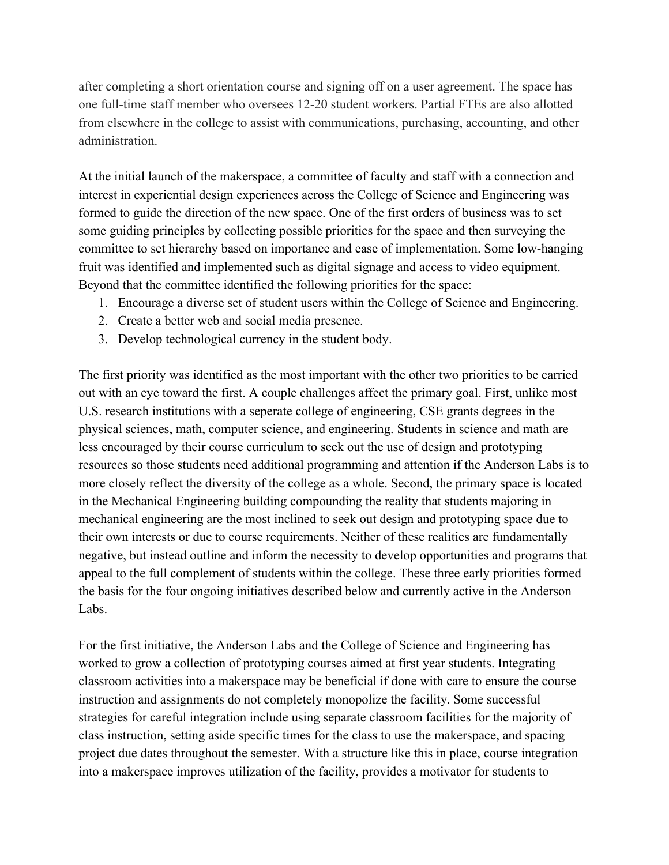after completing a short orientation course and signing off on a user agreement. The space has one full-time staff member who oversees 12-20 student workers. Partial FTEs are also allotted from elsewhere in the college to assist with communications, purchasing, accounting, and other administration.

At the initial launch of the makerspace, a committee of faculty and staff with a connection and interest in experiential design experiences across the College of Science and Engineering was formed to guide the direction of the new space. One of the first orders of business was to set some guiding principles by collecting possible priorities for the space and then surveying the committee to set hierarchy based on importance and ease of implementation. Some low-hanging fruit was identified and implemented such as digital signage and access to video equipment. Beyond that the committee identified the following priorities for the space:

- 1. Encourage a diverse set of student users within the College of Science and Engineering.
- 2. Create a better web and social media presence.
- 3. Develop technological currency in the student body.

The first priority was identified as the most important with the other two priorities to be carried out with an eye toward the first. A couple challenges affect the primary goal. First, unlike most U.S. research institutions with a seperate college of engineering, CSE grants degrees in the physical sciences, math, computer science, and engineering. Students in science and math are less encouraged by their course curriculum to seek out the use of design and prototyping resources so those students need additional programming and attention if the Anderson Labs is to more closely reflect the diversity of the college as a whole. Second, the primary space is located in the Mechanical Engineering building compounding the reality that students majoring in mechanical engineering are the most inclined to seek out design and prototyping space due to their own interests or due to course requirements. Neither of these realities are fundamentally negative, but instead outline and inform the necessity to develop opportunities and programs that appeal to the full complement of students within the college. These three early priorities formed the basis for the four ongoing initiatives described below and currently active in the Anderson Labs.

For the first initiative, the Anderson Labs and the College of Science and Engineering has worked to grow a collection of prototyping courses aimed at first year students. Integrating classroom activities into a makerspace may be beneficial if done with care to ensure the course instruction and assignments do not completely monopolize the facility. Some successful strategies for careful integration include using separate classroom facilities for the majority of class instruction, setting aside specific times for the class to use the makerspace, and spacing project due dates throughout the semester. With a structure like this in place, course integration into a makerspace improves utilization of the facility, provides a motivator for students to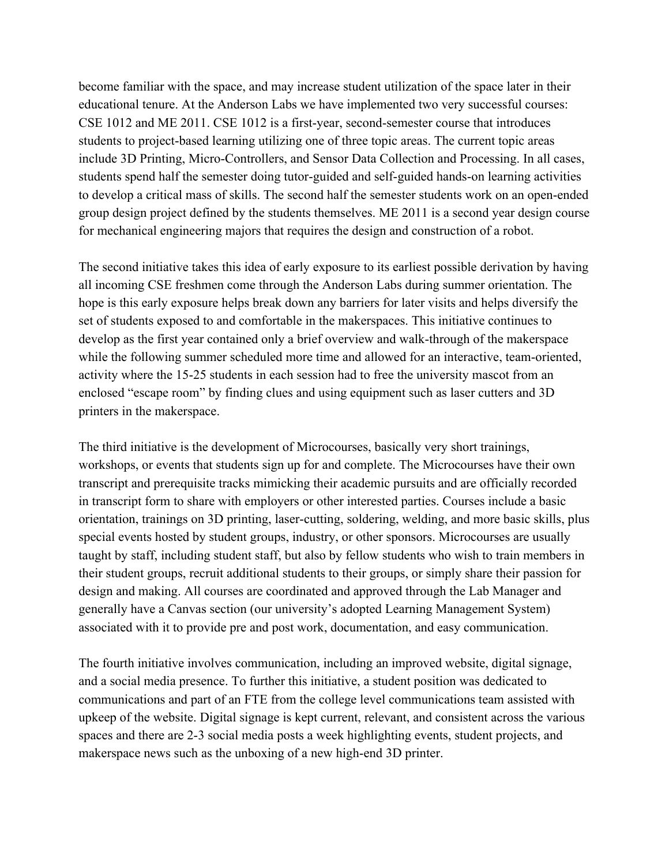become familiar with the space, and may increase student utilization of the space later in their educational tenure. At the Anderson Labs we have implemented two very successful courses: CSE 1012 and ME 2011. CSE 1012 is a first-year, second-semester course that introduces students to project-based learning utilizing one of three topic areas. The current topic areas include 3D Printing, Micro-Controllers, and Sensor Data Collection and Processing. In all cases, students spend half the semester doing tutor-guided and self-guided hands-on learning activities to develop a critical mass of skills. The second half the semester students work on an open-ended group design project defined by the students themselves. ME 2011 is a second year design course for mechanical engineering majors that requires the design and construction of a robot.

The second initiative takes this idea of early exposure to its earliest possible derivation by having all incoming CSE freshmen come through the Anderson Labs during summer orientation. The hope is this early exposure helps break down any barriers for later visits and helps diversify the set of students exposed to and comfortable in the makerspaces. This initiative continues to develop as the first year contained only a brief overview and walk-through of the makerspace while the following summer scheduled more time and allowed for an interactive, team-oriented, activity where the 15-25 students in each session had to free the university mascot from an enclosed "escape room" by finding clues and using equipment such as laser cutters and 3D printers in the makerspace.

The third initiative is the development of Microcourses, basically very short trainings, workshops, or events that students sign up for and complete. The Microcourses have their own transcript and prerequisite tracks mimicking their academic pursuits and are officially recorded in transcript form to share with employers or other interested parties. Courses include a basic orientation, trainings on 3D printing, laser-cutting, soldering, welding, and more basic skills, plus special events hosted by student groups, industry, or other sponsors. Microcourses are usually taught by staff, including student staff, but also by fellow students who wish to train members in their student groups, recruit additional students to their groups, or simply share their passion for design and making. All courses are coordinated and approved through the Lab Manager and generally have a Canvas section (our university's adopted Learning Management System) associated with it to provide pre and post work, documentation, and easy communication.

The fourth initiative involves communication, including an improved website, digital signage, and a social media presence. To further this initiative, a student position was dedicated to communications and part of an FTE from the college level communications team assisted with upkeep of the website. Digital signage is kept current, relevant, and consistent across the various spaces and there are 2-3 social media posts a week highlighting events, student projects, and makerspace news such as the unboxing of a new high-end 3D printer.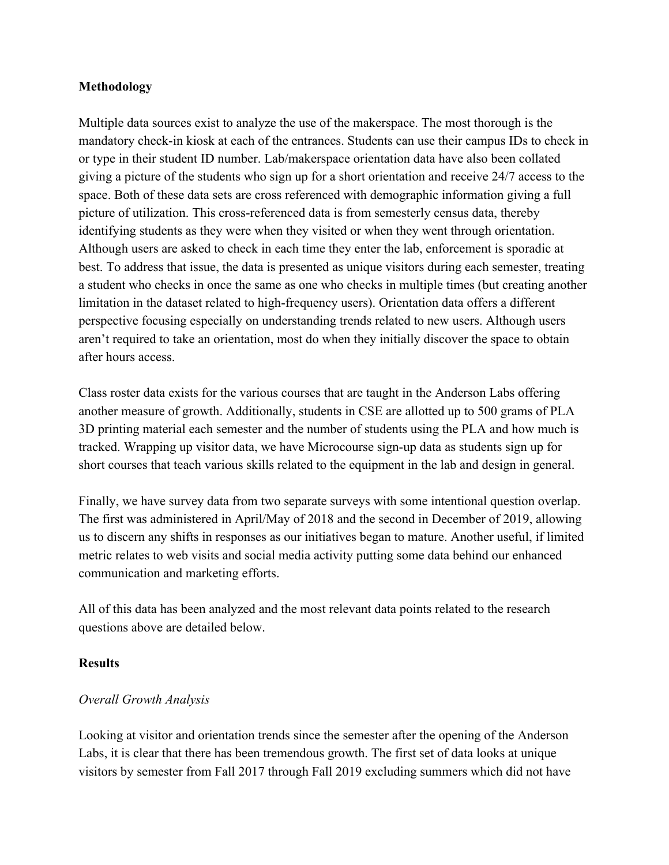### **Methodology**

Multiple data sources exist to analyze the use of the makerspace. The most thorough is the mandatory check-in kiosk at each of the entrances. Students can use their campus IDs to check in or type in their student ID number. Lab/makerspace orientation data have also been collated giving a picture of the students who sign up for a short orientation and receive 24/7 access to the space. Both of these data sets are cross referenced with demographic information giving a full picture of utilization. This cross-referenced data is from semesterly census data, thereby identifying students as they were when they visited or when they went through orientation. Although users are asked to check in each time they enter the lab, enforcement is sporadic at best. To address that issue, the data is presented as unique visitors during each semester, treating a student who checks in once the same as one who checks in multiple times (but creating another limitation in the dataset related to high-frequency users). Orientation data offers a different perspective focusing especially on understanding trends related to new users. Although users aren't required to take an orientation, most do when they initially discover the space to obtain after hours access.

Class roster data exists for the various courses that are taught in the Anderson Labs offering another measure of growth. Additionally, students in CSE are allotted up to 500 grams of PLA 3D printing material each semester and the number of students using the PLA and how much is tracked. Wrapping up visitor data, we have Microcourse sign-up data as students sign up for short courses that teach various skills related to the equipment in the lab and design in general.

Finally, we have survey data from two separate surveys with some intentional question overlap. The first was administered in April/May of 2018 and the second in December of 2019, allowing us to discern any shifts in responses as our initiatives began to mature. Another useful, if limited metric relates to web visits and social media activity putting some data behind our enhanced communication and marketing efforts.

All of this data has been analyzed and the most relevant data points related to the research questions above are detailed below.

### **Results**

### *Overall Growth Analysis*

Looking at visitor and orientation trends since the semester after the opening of the Anderson Labs, it is clear that there has been tremendous growth. The first set of data looks at unique visitors by semester from Fall 2017 through Fall 2019 excluding summers which did not have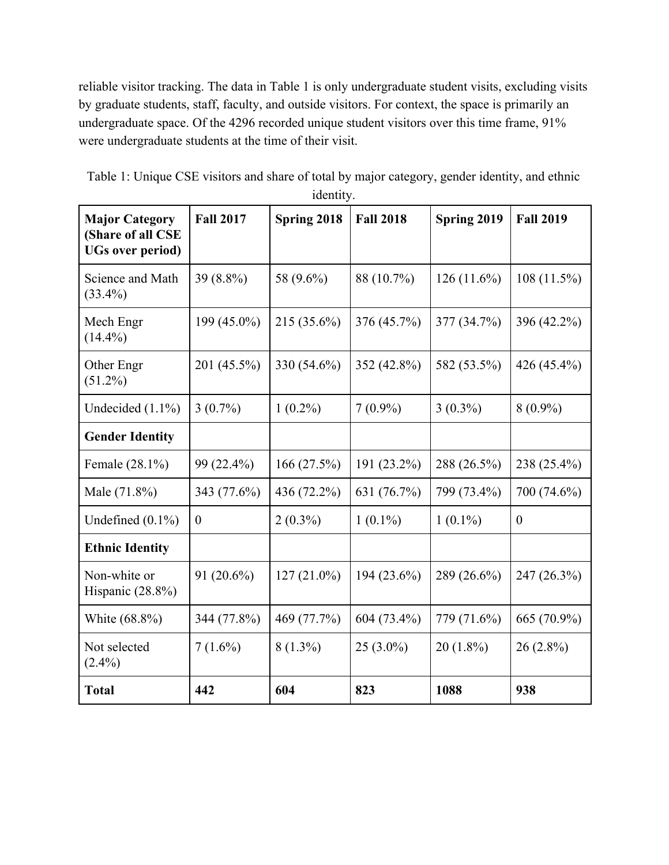reliable visitor tracking. The data in Table 1 is only undergraduate student visits, excluding visits by graduate students, staff, faculty, and outside visitors. For context, the space is primarily an undergraduate space. Of the 4296 recorded unique student visitors over this time frame, 91% were undergraduate students at the time of their visit.

| <b>Major Category</b><br>(Share of all CSE<br><b>UGs over period)</b> | <b>Fall 2017</b> | Spring 2018   | <b>Fall 2018</b> | Spring 2019   | <b>Fall 2019</b> |
|-----------------------------------------------------------------------|------------------|---------------|------------------|---------------|------------------|
| Science and Math<br>$(33.4\%)$                                        | 39 (8.8%)        | 58 (9.6%)     | 88 (10.7%)       | $126(11.6\%)$ | $108(11.5\%)$    |
| Mech Engr<br>$(14.4\%)$                                               | 199 (45.0%)      | 215 (35.6%)   | 376 (45.7%)      | 377 (34.7%)   | 396 (42.2%)      |
| Other Engr<br>$(51.2\%)$                                              | 201 (45.5%)      | 330 (54.6%)   | 352 (42.8%)      | 582 (53.5%)   | 426 $(45.4\%)$   |
| Undecided $(1.1\%)$                                                   | $3(0.7\%)$       | $1(0.2\%)$    | $7(0.9\%)$       | $3(0.3\%)$    | $8(0.9\%)$       |
| <b>Gender Identity</b>                                                |                  |               |                  |               |                  |
| Female (28.1%)                                                        | 99 (22.4%)       | 166(27.5%)    | 191 (23.2%)      | 288 (26.5%)   | 238 (25.4%)      |
| Male (71.8%)                                                          | 343 (77.6%)      | 436 (72.2%)   | 631 (76.7%)      | 799 (73.4%)   | 700 (74.6%)      |
| Undefined $(0.1\%)$                                                   | $\theta$         | $2(0.3\%)$    | $1(0.1\%)$       | $1(0.1\%)$    | $\boldsymbol{0}$ |
| <b>Ethnic Identity</b>                                                |                  |               |                  |               |                  |
| Non-white or<br>Hispanic $(28.8\%)$                                   | $91(20.6\%)$     | $127(21.0\%)$ | 194 (23.6%)      | 289 (26.6%)   | 247 (26.3%)      |
| White (68.8%)                                                         | 344 (77.8%)      | 469 (77.7%)   | 604 (73.4%)      | 779 (71.6%)   | 665 (70.9%)      |
| Not selected<br>$(2.4\%)$                                             | $7(1.6\%)$       | $8(1.3\%)$    | $25(3.0\%)$      | $20(1.8\%)$   | $26(2.8\%)$      |
| <b>Total</b>                                                          | 442              | 604           | 823              | 1088          | 938              |

| Table 1: Unique CSE visitors and share of total by major category, gender identity, and ethnic |  |
|------------------------------------------------------------------------------------------------|--|
| identity.                                                                                      |  |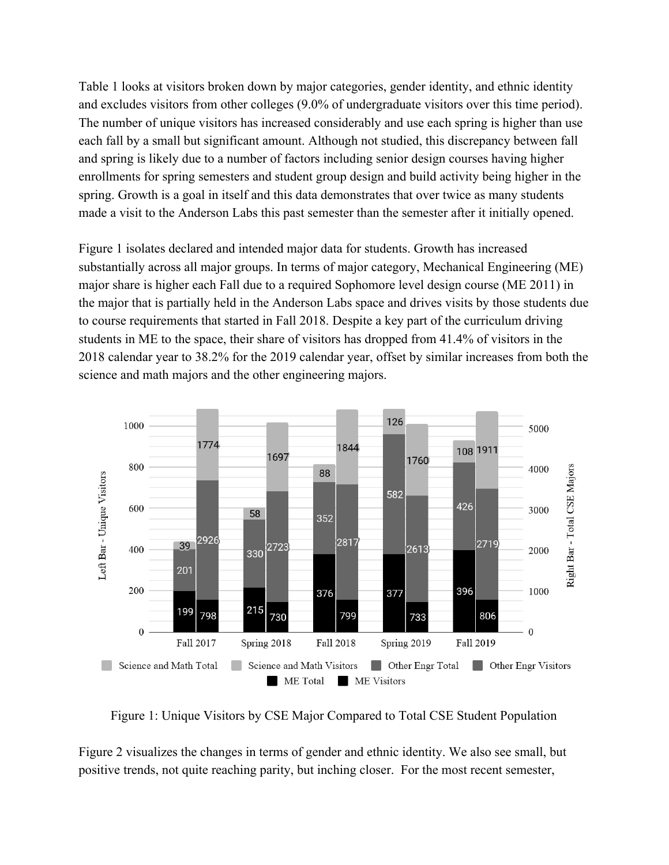Table 1 looks at visitors broken down by major categories, gender identity, and ethnic identity and excludes visitors from other colleges (9.0% of undergraduate visitors over this time period). The number of unique visitors has increased considerably and use each spring is higher than use each fall by a small but significant amount. Although not studied, this discrepancy between fall and spring is likely due to a number of factors including senior design courses having higher enrollments for spring semesters and student group design and build activity being higher in the spring. Growth is a goal in itself and this data demonstrates that over twice as many students made a visit to the Anderson Labs this past semester than the semester after it initially opened.

Figure 1 isolates declared and intended major data for students. Growth has increased substantially across all major groups. In terms of major category, Mechanical Engineering (ME) major share is higher each Fall due to a required Sophomore level design course (ME 2011) in the major that is partially held in the Anderson Labs space and drives visits by those students due to course requirements that started in Fall 2018. Despite a key part of the curriculum driving students in ME to the space, their share of visitors has dropped from 41.4% of visitors in the 2018 calendar year to 38.2% for the 2019 calendar year, offset by similar increases from both the science and math majors and the other engineering majors.



Figure 1: Unique Visitors by CSE Major Compared to Total CSE Student Population

Figure 2 visualizes the changes in terms of gender and ethnic identity. We also see small, but positive trends, not quite reaching parity, but inching closer. For the most recent semester,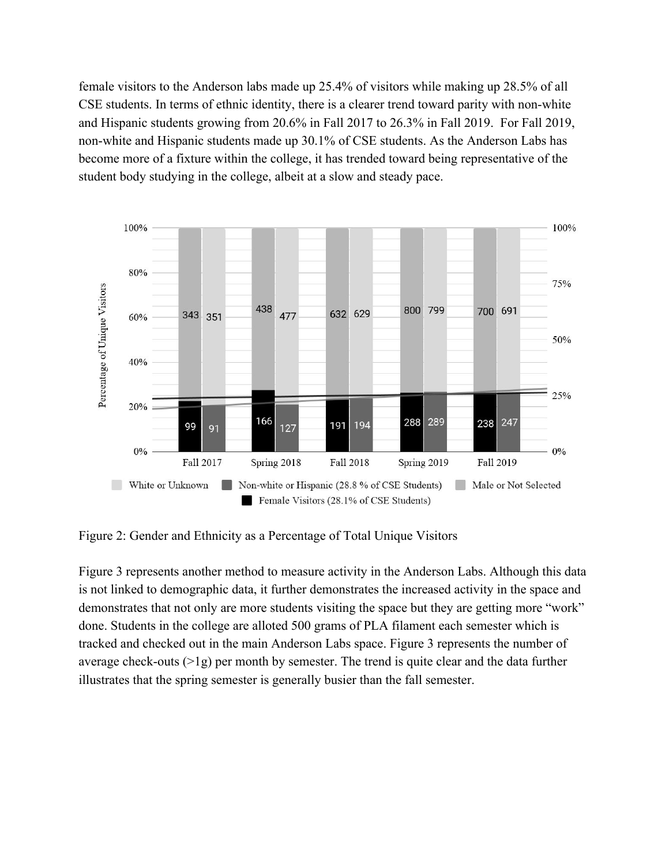female visitors to the Anderson labs made up 25.4% of visitors while making up 28.5% of all CSE students. In terms of ethnic identity, there is a clearer trend toward parity with non-white and Hispanic students growing from 20.6% in Fall 2017 to 26.3% in Fall 2019. For Fall 2019, non-white and Hispanic students made up 30.1% of CSE students. As the Anderson Labs has become more of a fixture within the college, it has trended toward being representative of the student body studying in the college, albeit at a slow and steady pace.



Figure 2: Gender and Ethnicity as a Percentage of Total Unique Visitors

Figure 3 represents another method to measure activity in the Anderson Labs. Although this data is not linked to demographic data, it further demonstrates the increased activity in the space and demonstrates that not only are more students visiting the space but they are getting more "work" done. Students in the college are alloted 500 grams of PLA filament each semester which is tracked and checked out in the main Anderson Labs space. Figure 3 represents the number of average check-outs (>1g) per month by semester. The trend is quite clear and the data further illustrates that the spring semester is generally busier than the fall semester.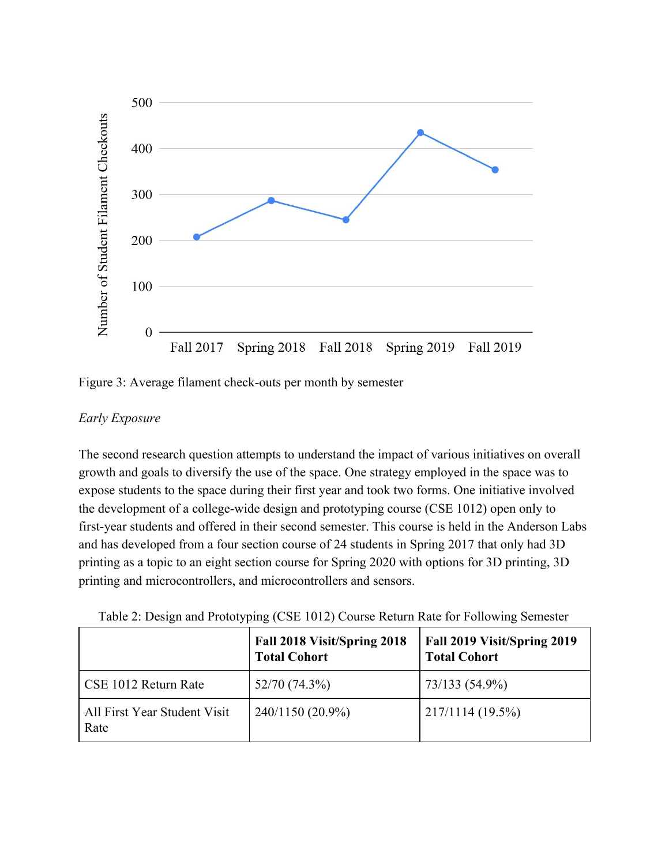

Figure 3: Average filament check-outs per month by semester

### *Early Exposure*

The second research question attempts to understand the impact of various initiatives on overall growth and goals to diversify the use of the space. One strategy employed in the space was to expose students to the space during their first year and took two forms. One initiative involved the development of a college-wide design and prototyping course (CSE 1012) open only to first-year students and offered in their second semester. This course is held in the Anderson Labs and has developed from a four section course of 24 students in Spring 2017 that only had 3D printing as a topic to an eight section course for Spring 2020 with options for 3D printing, 3D printing and microcontrollers, and microcontrollers and sensors.

|                                      | Fall 2018 Visit/Spring 2018<br><b>Total Cohort</b> | Fall 2019 Visit/Spring 2019<br><b>Total Cohort</b> |
|--------------------------------------|----------------------------------------------------|----------------------------------------------------|
| CSE 1012 Return Rate                 | 52/70 (74.3%)                                      | 73/133 (54.9%)                                     |
| All First Year Student Visit<br>Rate | 240/1150 (20.9%)                                   | $217/1114(19.5\%)$                                 |

Table 2: Design and Prototyping (CSE 1012) Course Return Rate for Following Semester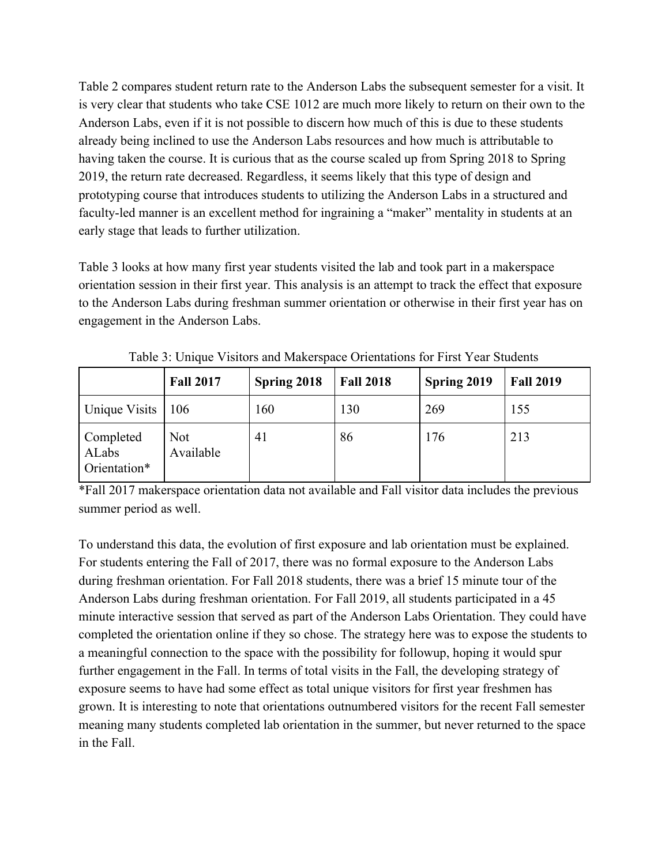Table 2 compares student return rate to the Anderson Labs the subsequent semester for a visit. It is very clear that students who take CSE 1012 are much more likely to return on their own to the Anderson Labs, even if it is not possible to discern how much of this is due to these students already being inclined to use the Anderson Labs resources and how much is attributable to having taken the course. It is curious that as the course scaled up from Spring 2018 to Spring 2019, the return rate decreased. Regardless, it seems likely that this type of design and prototyping course that introduces students to utilizing the Anderson Labs in a structured and faculty-led manner is an excellent method for ingraining a "maker" mentality in students at an early stage that leads to further utilization.

Table 3 looks at how many first year students visited the lab and took part in a makerspace orientation session in their first year. This analysis is an attempt to track the effect that exposure to the Anderson Labs during freshman summer orientation or otherwise in their first year has on engagement in the Anderson Labs.

|                                    | <b>Fall 2017</b>        | Spring 2018 | <b>Fall 2018</b> | Spring 2019 | <b>Fall 2019</b> |
|------------------------------------|-------------------------|-------------|------------------|-------------|------------------|
| Unique Visits                      | 106                     | 160         | 130              | 269         | 155              |
| Completed<br>ALabs<br>Orientation* | <b>Not</b><br>Available | 41          | 86               | 176         | 213              |

Table 3: Unique Visitors and Makerspace Orientations for First Year Students

\*Fall 2017 makerspace orientation data not available and Fall visitor data includes the previous summer period as well.

To understand this data, the evolution of first exposure and lab orientation must be explained. For students entering the Fall of 2017, there was no formal exposure to the Anderson Labs during freshman orientation. For Fall 2018 students, there was a brief 15 minute tour of the Anderson Labs during freshman orientation. For Fall 2019, all students participated in a 45 minute interactive session that served as part of the Anderson Labs Orientation. They could have completed the orientation online if they so chose. The strategy here was to expose the students to a meaningful connection to the space with the possibility for followup, hoping it would spur further engagement in the Fall. In terms of total visits in the Fall, the developing strategy of exposure seems to have had some effect as total unique visitors for first year freshmen has grown. It is interesting to note that orientations outnumbered visitors for the recent Fall semester meaning many students completed lab orientation in the summer, but never returned to the space in the Fall.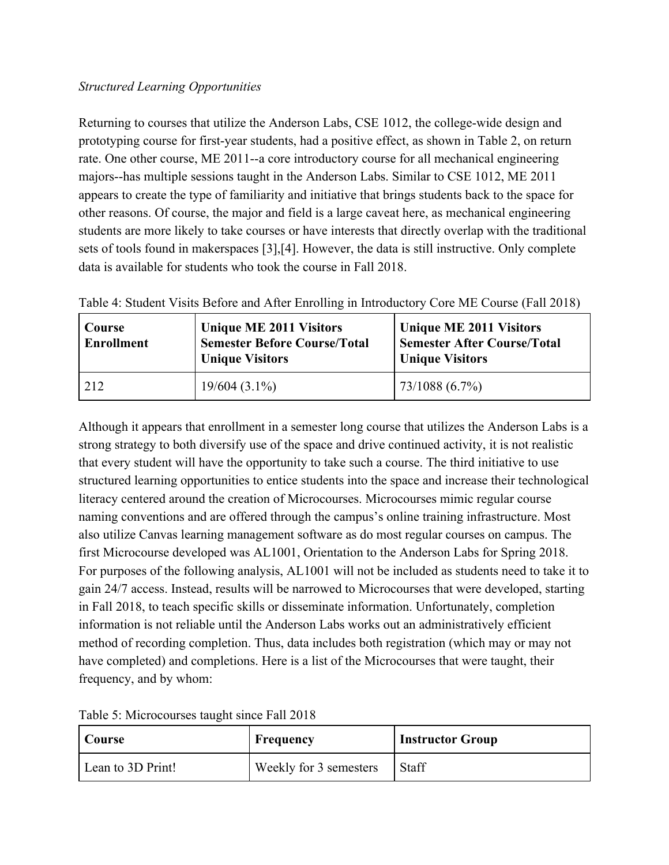### *Structured Learning Opportunities*

Returning to courses that utilize the Anderson Labs, CSE 1012, the college-wide design and prototyping course for first-year students, had a positive effect, as shown in Table 2, on return rate. One other course, ME 2011--a core introductory course for all mechanical engineering majors--has multiple sessions taught in the Anderson Labs. Similar to CSE 1012, ME 2011 appears to create the type of familiarity and initiative that brings students back to the space for other reasons. Of course, the major and field is a large caveat here, as mechanical engineering students are more likely to take courses or have interests that directly overlap with the traditional sets of tools found in makerspaces [3],[4]. However, the data is still instructive. Only complete data is available for students who took the course in Fall 2018.

| Course<br><b>Enrollment</b> | <b>Unique ME 2011 Visitors</b><br><b>Semester Before Course/Total</b><br><b>Unique Visitors</b> | <b>Unique ME 2011 Visitors</b><br><b>Semester After Course/Total</b><br><b>Unique Visitors</b> |  |
|-----------------------------|-------------------------------------------------------------------------------------------------|------------------------------------------------------------------------------------------------|--|
| 212                         | $19/604(3.1\%)$                                                                                 | 73/1088 (6.7%)                                                                                 |  |

|  |  | Table 4: Student Visits Before and After Enrolling in Introductory Core ME Course (Fall 2018) |  |  |
|--|--|-----------------------------------------------------------------------------------------------|--|--|
|--|--|-----------------------------------------------------------------------------------------------|--|--|

Although it appears that enrollment in a semester long course that utilizes the Anderson Labs is a strong strategy to both diversify use of the space and drive continued activity, it is not realistic that every student will have the opportunity to take such a course. The third initiative to use structured learning opportunities to entice students into the space and increase their technological literacy centered around the creation of Microcourses. Microcourses mimic regular course naming conventions and are offered through the campus's online training infrastructure. Most also utilize Canvas learning management software as do most regular courses on campus. The first Microcourse developed was AL1001, Orientation to the Anderson Labs for Spring 2018. For purposes of the following analysis, AL1001 will not be included as students need to take it to gain 24/7 access. Instead, results will be narrowed to Microcourses that were developed, starting in Fall 2018, to teach specific skills or disseminate information. Unfortunately, completion information is not reliable until the Anderson Labs works out an administratively efficient method of recording completion. Thus, data includes both registration (which may or may not have completed) and completions. Here is a list of the Microcourses that were taught, their frequency, and by whom:

| Course            | Frequency              | <b>Instructor Group</b> |
|-------------------|------------------------|-------------------------|
| Lean to 3D Print! | Weekly for 3 semesters | <b>Staff</b>            |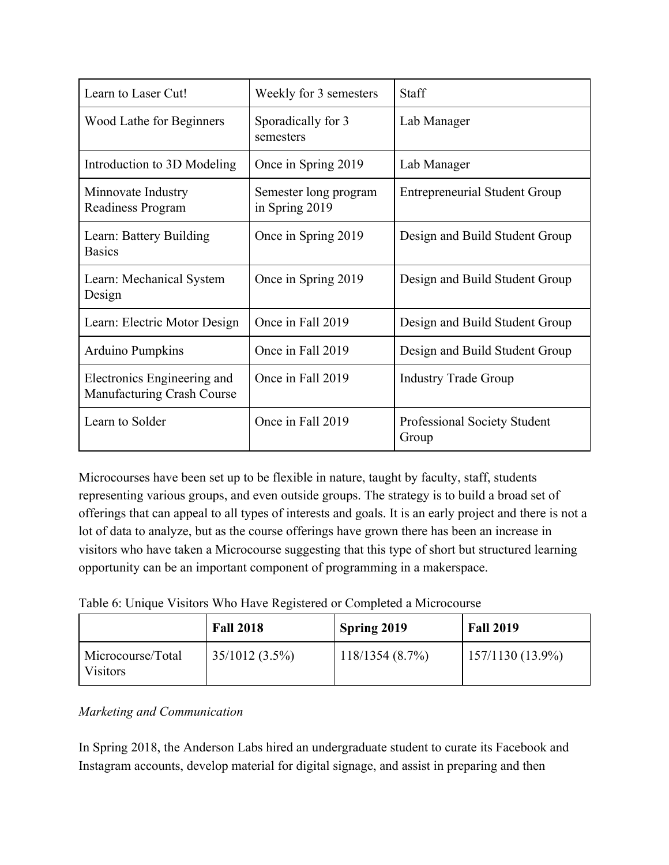| Learn to Laser Cut!                                       | Weekly for 3 semesters                  | <b>Staff</b>                          |
|-----------------------------------------------------------|-----------------------------------------|---------------------------------------|
| Wood Lathe for Beginners                                  | Sporadically for 3<br>semesters         | Lab Manager                           |
| Introduction to 3D Modeling                               | Once in Spring 2019                     | Lab Manager                           |
| Minnovate Industry<br>Readiness Program                   | Semester long program<br>in Spring 2019 | <b>Entrepreneurial Student Group</b>  |
| Learn: Battery Building<br><b>Basics</b>                  | Once in Spring 2019                     | Design and Build Student Group        |
| Learn: Mechanical System<br>Design                        | Once in Spring 2019                     | Design and Build Student Group        |
| Learn: Electric Motor Design                              | Once in Fall 2019                       | Design and Build Student Group        |
| <b>Arduino Pumpkins</b>                                   | Once in Fall 2019                       | Design and Build Student Group        |
| Electronics Engineering and<br>Manufacturing Crash Course | Once in Fall 2019                       | <b>Industry Trade Group</b>           |
| Learn to Solder                                           | Once in Fall 2019                       | Professional Society Student<br>Group |

Microcourses have been set up to be flexible in nature, taught by faculty, staff, students representing various groups, and even outside groups. The strategy is to build a broad set of offerings that can appeal to all types of interests and goals. It is an early project and there is not a lot of data to analyze, but as the course offerings have grown there has been an increase in visitors who have taken a Microcourse suggesting that this type of short but structured learning opportunity can be an important component of programming in a makerspace.

| Table 6: Unique Visitors Who Have Registered or Completed a Microcourse |  |  |  |
|-------------------------------------------------------------------------|--|--|--|
|                                                                         |  |  |  |
|                                                                         |  |  |  |
|                                                                         |  |  |  |

|                                      | <b>Fall 2018</b> | Spring 2019    | <b>Fall 2019</b>   |
|--------------------------------------|------------------|----------------|--------------------|
| Microcourse/Total<br><b>Visitors</b> | $35/1012(3.5\%)$ | 118/1354(8.7%) | $157/1130(13.9\%)$ |

## *Marketing and Communication*

In Spring 2018, the Anderson Labs hired an undergraduate student to curate its Facebook and Instagram accounts, develop material for digital signage, and assist in preparing and then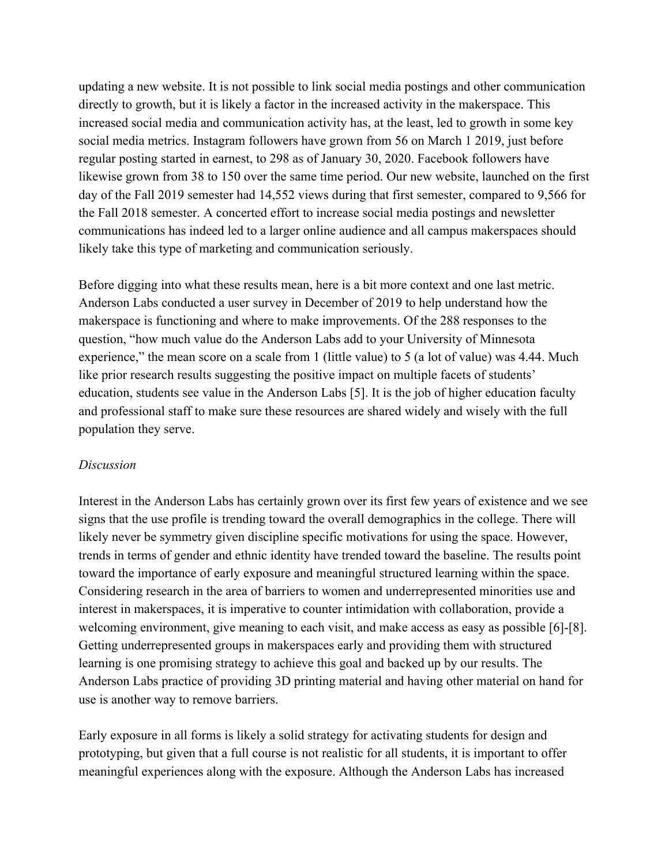updating a new website. It is not possible to link social media postings and other communication directly to growth, but it is likely a factor in the increased activity in the makerspace. This increased social media and communication activity has, at the least, led to growth in some key social media metrics. Instagram followers have grown from 56 on March 1 2019, just before regular posting started in earnest, to 298 as of January 30, 2020. Facebook followers have likewise grown from 38 to 150 over the same time period. Our new website, launched on the first day of the Fall 2019 semester had 14,552 views during that first semester, compared to 9,566 for the Fall 2018 semester. A concerted effort to increase social media postings and newsletter communications has indeed led to a larger online audience and all campus makerspaces should likely take this type of marketing and communication seriously.

Before digging into what these results mean, here is a bit more context and one last metric. Anderson Labs conducted a user survey in December of 2019 to help understand how the makerspace is functioning and where to make improvements. Of the 288 responses to the question, "how much value do the Anderson Labs add to your University of Minnesota experience," the mean score on a scale from 1 (little value) to 5 (a lot of value) was 4.44. Much like prior research results suggesting the positive impact on multiple facets of students' education, students see value in the Anderson Labs [5]. It is the job of higher education faculty and professional staff to make sure these resources are shared widely and wisely with the full population they serve.

### *Discussion*

Interest in the Anderson Labs has certainly grown over its first few years of existence and we see signs that the use profile is trending toward the overall demographics in the college. There will likely never be symmetry given discipline specific motivations for using the space. However, trends in terms of gender and ethnic identity have trended toward the baseline. The results point toward the importance of early exposure and meaningful structured learning within the space. Considering research in the area of barriers to women and underrepresented minorities use and interest in makerspaces, it is imperative to counter intimidation with collaboration, provide a welcoming environment, give meaning to each visit, and make access as easy as possible [6]-[8]. Getting underrepresented groups in makerspaces early and providing them with structured learning is one promising strategy to achieve this goal and backed up by our results. The Anderson Labs practice of providing 3D printing material and having other material on hand for use is another way to remove barriers.

Early exposure in all forms is likely a solid strategy for activating students for design and prototyping, but given that a full course is not realistic for all students, it is important to offer meaningful experiences along with the exposure. Although the Anderson Labs has increased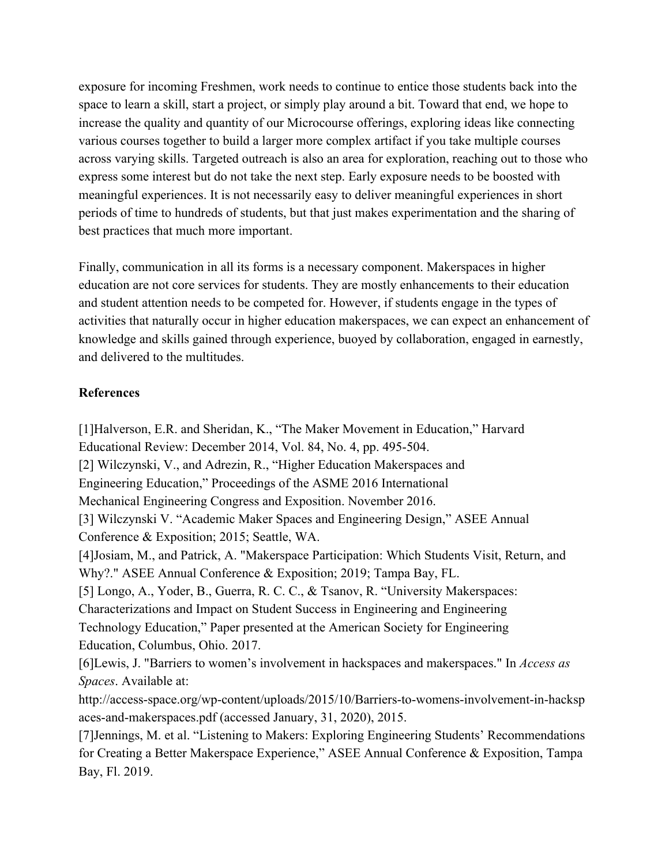exposure for incoming Freshmen, work needs to continue to entice those students back into the space to learn a skill, start a project, or simply play around a bit. Toward that end, we hope to increase the quality and quantity of our Microcourse offerings, exploring ideas like connecting various courses together to build a larger more complex artifact if you take multiple courses across varying skills. Targeted outreach is also an area for exploration, reaching out to those who express some interest but do not take the next step. Early exposure needs to be boosted with meaningful experiences. It is not necessarily easy to deliver meaningful experiences in short periods of time to hundreds of students, but that just makes experimentation and the sharing of best practices that much more important.

Finally, communication in all its forms is a necessary component. Makerspaces in higher education are not core services for students. They are mostly enhancements to their education and student attention needs to be competed for. However, if students engage in the types of activities that naturally occur in higher education makerspaces, we can expect an enhancement of knowledge and skills gained through experience, buoyed by collaboration, engaged in earnestly, and delivered to the multitudes.

### **References**

[1]Halverson, E.R. and Sheridan, K., "The Maker Movement in Education," Harvard Educational Review: December 2014, Vol. 84, No. 4, pp. 495-504. [2] Wilczynski, V., and Adrezin, R., "Higher Education Makerspaces and Engineering Education," Proceedings of the ASME 2016 International Mechanical Engineering Congress and Exposition. November 2016. [3] Wilczynski V. "Academic Maker Spaces and Engineering Design," ASEE Annual Conference & Exposition; 2015; Seattle, WA. [4]Josiam, M., and Patrick, A. "Makerspace Participation: Which Students Visit, Return, and Why?." ASEE Annual Conference & Exposition; 2019; Tampa Bay, FL. [5] Longo, A., Yoder, B., Guerra, R. C. C., & Tsanov, R. "University Makerspaces: Characterizations and Impact on Student Success in Engineering and Engineering Technology Education," Paper presented at the American Society for Engineering Education, Columbus, Ohio. 2017. [6]Lewis, J. "Barriers to women's involvement in hackspaces and makerspaces." In *Access as Spaces*. Available at: http://access-space.org/wp-content/uploads/2015/10/Barriers-to-womens-involvement-in-hacksp aces-and-makerspaces.pdf (accessed January, 31, 2020), 2015. [7]Jennings, M. et al. "Listening to Makers: Exploring Engineering Students' Recommendations for Creating a Better Makerspace Experience," ASEE Annual Conference & Exposition, Tampa Bay, Fl. 2019.